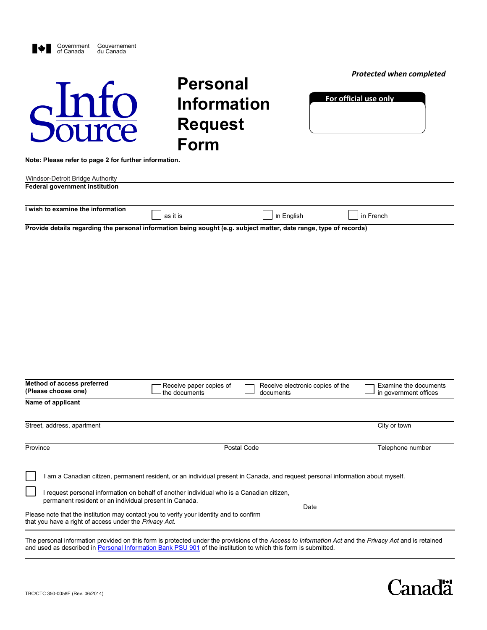| Government Gouvernement<br>of Canada du Canada<br>Shifo                                                                                                                                                                                                                                                                                                                                                                                     | <b>Personal</b><br><b>Information</b><br><b>Request</b><br><b>Form</b> |                                               | <b>Protected when completed</b><br>For official use only |
|---------------------------------------------------------------------------------------------------------------------------------------------------------------------------------------------------------------------------------------------------------------------------------------------------------------------------------------------------------------------------------------------------------------------------------------------|------------------------------------------------------------------------|-----------------------------------------------|----------------------------------------------------------|
| Note: Please refer to page 2 for further information.<br>Windsor-Detroit Bridge Authority                                                                                                                                                                                                                                                                                                                                                   |                                                                        |                                               |                                                          |
| <b>Federal government institution</b>                                                                                                                                                                                                                                                                                                                                                                                                       |                                                                        |                                               |                                                          |
| I wish to examine the information                                                                                                                                                                                                                                                                                                                                                                                                           | as it is                                                               | in English                                    | in French                                                |
|                                                                                                                                                                                                                                                                                                                                                                                                                                             |                                                                        |                                               |                                                          |
| Method of access preferred<br>(Please choose one)                                                                                                                                                                                                                                                                                                                                                                                           | Receive paper copies of<br>the documents                               | Receive electronic copies of the<br>documents | Examine the documents<br>in government offices           |
| Name of applicant                                                                                                                                                                                                                                                                                                                                                                                                                           |                                                                        |                                               |                                                          |
| Street, address, apartment                                                                                                                                                                                                                                                                                                                                                                                                                  |                                                                        |                                               | City or town                                             |
| Province                                                                                                                                                                                                                                                                                                                                                                                                                                    |                                                                        | Postal Code                                   | Telephone number                                         |
| I am a Canadian citizen, permanent resident, or an individual present in Canada, and request personal information about myself.<br>I request personal information on behalf of another individual who is a Canadian citizen,<br>permanent resident or an individual present in Canada.<br>Please note that the institution may contact you to verify your identity and to confirm<br>that you have a right of access under the Privacy Act. |                                                                        | Date                                          |                                                          |
|                                                                                                                                                                                                                                                                                                                                                                                                                                             |                                                                        |                                               |                                                          |